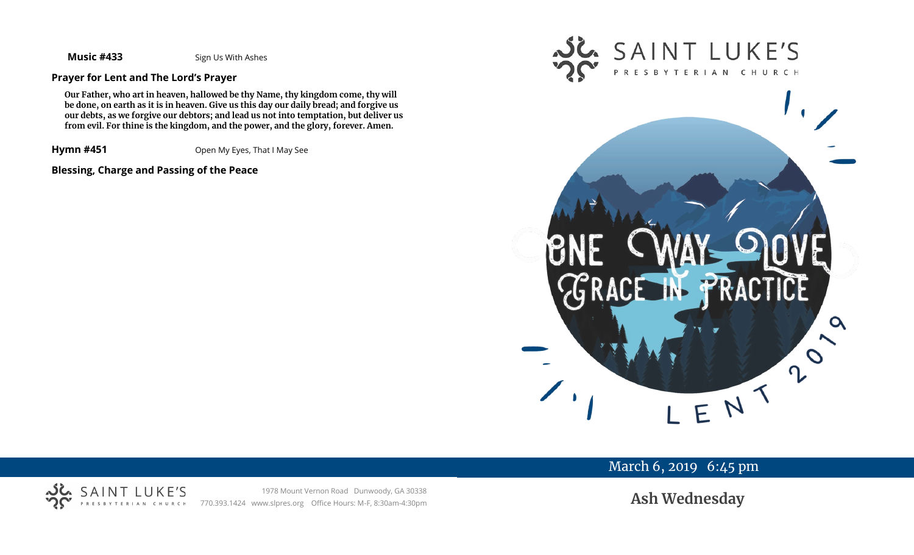**Music #433** Sign Us With Ashes

## **Prayer for Lent and The Lord's Prayer**

**Our Father, who art in heaven, hallowed be thy Name, thy kingdom come, thy will be done, on earth as it is in heaven. Give us this day our daily bread; and forgive us our debts, as we forgive our debtors; and lead us not into temptation, but deliver us from evil. For thine is the kingdom, and the power, and the glory, forever. Amen.**

**Hymn #451** Open My Eyes, That I May See

## **Blessing, Charge and Passing of the Peace**





# March 6, 2019 6:45 pm



**Ash Wednesday**